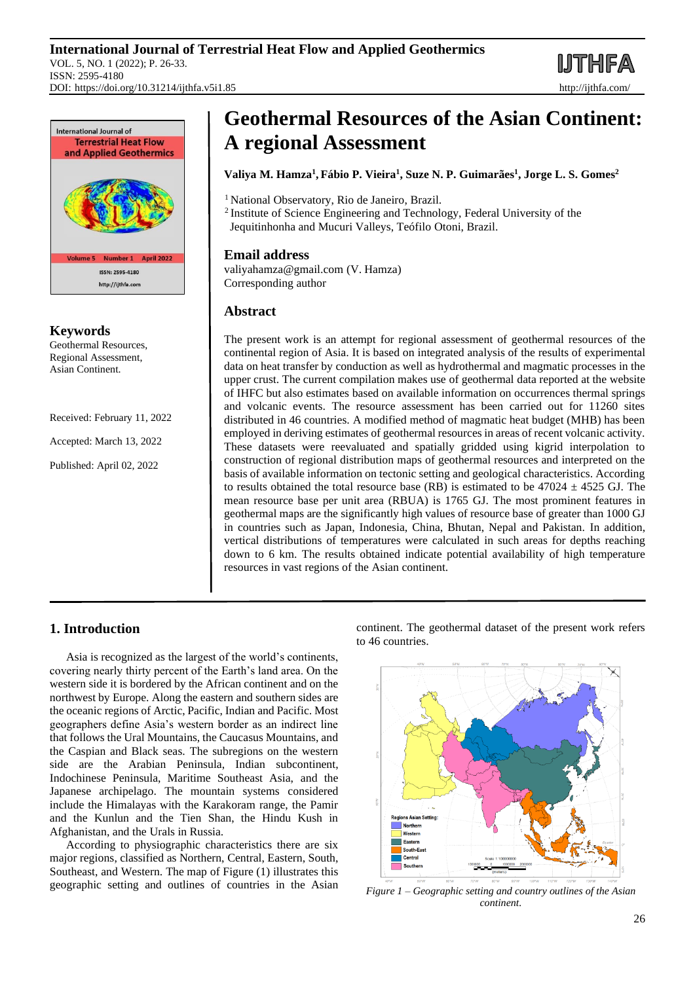DOI: https://doi.org/10.31214/ijthfa.v5i1.85 http://ijthfa.com/



**Keywords** Geothermal Resources,

Regional Assessment, Asian Continent.

Received: February 11, 2022

Accepted: March 13, 2022

Published: April 02, 2022

# **Geothermal Resources of the Asian Continent: A regional Assessment**

# **Valiya M. Hamza<sup>1</sup> , Fábio P. Vieira<sup>1</sup> , Suze N. P. Guimarães<sup>1</sup> , Jorge L. S. Gomes<sup>2</sup>**

<sup>1</sup> National Observatory, Rio de Janeiro, Brazil.

<sup>2</sup>Institute of Science Engineering and Technology, Federal University of the Jequitinhonha and Mucuri Valleys, Teófilo Otoni, Brazil.

# **Email address**

valiyahamza@gmail.com (V. Hamza) Corresponding author

# **Abstract**

The present work is an attempt for regional assessment of geothermal resources of the continental region of Asia. It is based on integrated analysis of the results of experimental data on heat transfer by conduction as well as hydrothermal and magmatic processes in the upper crust. The current compilation makes use of geothermal data reported at the website of IHFC but also estimates based on available information on occurrences thermal springs and volcanic events. The resource assessment has been carried out for 11260 sites distributed in 46 countries. A modified method of magmatic heat budget (MHB) has been employed in deriving estimates of geothermal resources in areas of recent volcanic activity. These datasets were reevaluated and spatially gridded using kigrid interpolation to construction of regional distribution maps of geothermal resources and interpreted on the basis of available information on tectonic setting and geological characteristics. According to results obtained the total resource base (RB) is estimated to be  $47024 \pm 4525$  GJ. The mean resource base per unit area (RBUA) is 1765 GJ. The most prominent features in geothermal maps are the significantly high values of resource base of greater than 1000 GJ in countries such as Japan, Indonesia, China, Bhutan, Nepal and Pakistan. In addition, vertical distributions of temperatures were calculated in such areas for depths reaching down to 6 km. The results obtained indicate potential availability of high temperature resources in vast regions of the Asian continent.

# **1. Introduction**

Asia is recognized as the largest of the world's continents, covering nearly thirty percent of the Earth's land area. On the western side it is bordered by the African continent and on the northwest by Europe. Along the eastern and southern sides are the oceanic regions of Arctic, Pacific, Indian and Pacific. Most geographers define Asia's western border as an indirect line that follows the Ural Mountains, the Caucasus Mountains, and the Caspian and Black seas. The subregions on the western side are the Arabian Peninsula, Indian subcontinent, Indochinese Peninsula, Maritime Southeast Asia, and the Japanese archipelago. The mountain systems considered include the Himalayas with the Karakoram range, the Pamir and the Kunlun and the Tien Shan, the Hindu Kush in Afghanistan, and the Urals in Russia.

According to physiographic characteristics there are six major regions, classified as Northern, Central, Eastern, South, Southeast, and Western. The map of Figure (1) illustrates this geographic setting and outlines of countries in the Asian continent. The geothermal dataset of the present work refers to 46 countries.



*Figure 1 – Geographic setting and country outlines of the Asian continent.*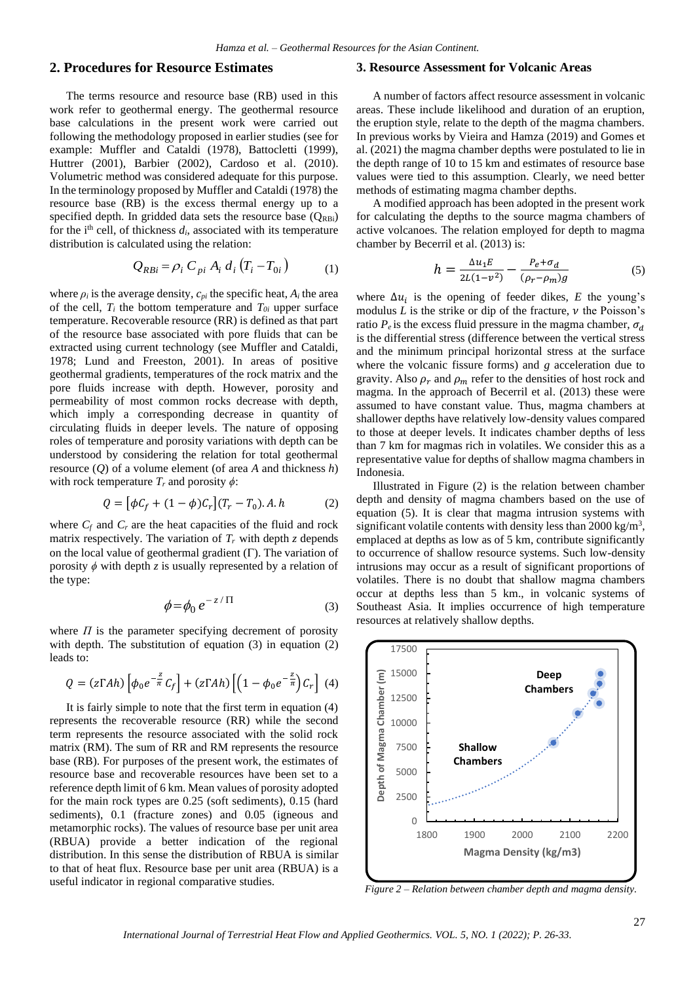## **2. Procedures for Resource Estimates**

The terms resource and resource base (RB) used in this work refer to geothermal energy. The geothermal resource base calculations in the present work were carried out following the methodology proposed in earlier studies (see for example: Muffler and Cataldi (1978), Battocletti (1999), Huttrer (2001), Barbier (2002), Cardoso et al. (2010). Volumetric method was considered adequate for this purpose. In the terminology proposed by Muffler and Cataldi (1978) the resource base (RB) is the excess thermal energy up to a specified depth. In gridded data sets the resource base  $(Q_{RBi})$ for the i<sup>th</sup> cell, of thickness  $d_i$ , associated with its temperature distribution is calculated using the relation:

$$
Q_{RBi} = \rho_i C_{pi} A_i d_i (T_i - T_{0i})
$$
 (1)

where  $\rho_i$  is the average density,  $c_{pi}$  the specific heat,  $A_i$  the area of the cell,  $T_i$  the bottom temperature and  $T_{0i}$  upper surface temperature. Recoverable resource (RR) is defined as that part of the resource base associated with pore fluids that can be extracted using current technology (see Muffler and Cataldi, 1978; Lund and Freeston, 2001). In areas of positive geothermal gradients, temperatures of the rock matrix and the pore fluids increase with depth. However, porosity and permeability of most common rocks decrease with depth, which imply a corresponding decrease in quantity of circulating fluids in deeper levels. The nature of opposing roles of temperature and porosity variations with depth can be understood by considering the relation for total geothermal resource (*Q*) of a volume element (of area *A* and thickness *h*) with rock temperature  $T_r$  and porosity  $\phi$ :

$$
Q = \left[\phi C_f + (1 - \phi)C_r\right](T_r - T_0).A.h \tag{2}
$$

where  $C_f$  and  $C_r$  are the heat capacities of the fluid and rock matrix respectively. The variation of  $T_r$  with depth  $z$  depends on the local value of geothermal gradient  $(\Gamma)$ . The variation of porosity *ϕ* with depth *z* is usually represented by a relation of the type:

$$
\phi = \phi_0 \, e^{-z/\Pi} \tag{3}
$$

where  $\Pi$  is the parameter specifying decrement of porosity with depth. The substitution of equation (3) in equation (2) leads to:

$$
Q = (z \Gamma Ah) \left[ \phi_0 e^{-\frac{z}{\pi}} C_f \right] + (z \Gamma Ah) \left[ \left( 1 - \phi_0 e^{-\frac{z}{\pi}} \right) C_r \right] (4)
$$

It is fairly simple to note that the first term in equation (4) represents the recoverable resource (RR) while the second term represents the resource associated with the solid rock matrix (RM). The sum of RR and RM represents the resource base (RB). For purposes of the present work, the estimates of resource base and recoverable resources have been set to a reference depth limit of 6 km. Mean values of porosity adopted for the main rock types are 0.25 (soft sediments), 0.15 (hard sediments), 0.1 (fracture zones) and 0.05 (igneous and metamorphic rocks). The values of resource base per unit area (RBUA) provide a better indication of the regional distribution. In this sense the distribution of RBUA is similar to that of heat flux. Resource base per unit area (RBUA) is a useful indicator in regional comparative studies.

## **3. Resource Assessment for Volcanic Areas**

A number of factors affect resource assessment in volcanic areas. These include likelihood and duration of an eruption, the eruption style, relate to the depth of the magma chambers. In previous works by Vieira and Hamza (2019) and Gomes et al. (2021) the magma chamber depths were postulated to lie in the depth range of 10 to 15 km and estimates of resource base values were tied to this assumption. Clearly, we need better methods of estimating magma chamber depths.

A modified approach has been adopted in the present work for calculating the depths to the source magma chambers of active volcanoes. The relation employed for depth to magma chamber by Becerril et al. (2013) is:

$$
h = \frac{\Delta u_1 E}{2L(1 - v^2)} - \frac{P_e + \sigma_d}{(\rho_r - \rho_m)g} \tag{5}
$$

where  $\Delta u_i$  is the opening of feeder dikes, *E* the young's modulus  $L$  is the strike or dip of the fracture,  $\nu$  the Poisson's ratio  $P_e$  is the excess fluid pressure in the magma chamber,  $\sigma_d$ is the differential stress (difference between the vertical stress and the minimum principal horizontal stress at the surface where the volcanic fissure forms) and *g* acceleration due to gravity. Also  $\rho_r$  and  $\rho_m$  refer to the densities of host rock and magma. In the approach of Becerril et al. (2013) these were assumed to have constant value. Thus, magma chambers at shallower depths have relatively low-density values compared to those at deeper levels. It indicates chamber depths of less than 7 km for magmas rich in volatiles. We consider this as a representative value for depths of shallow magma chambers in Indonesia.

Illustrated in Figure (2) is the relation between chamber depth and density of magma chambers based on the use of equation (5). It is clear that magma intrusion systems with significant volatile contents with density less than  $2000 \text{ kg/m}^3$ , emplaced at depths as low as of 5 km, contribute significantly to occurrence of shallow resource systems. Such low-density intrusions may occur as a result of significant proportions of volatiles. There is no doubt that shallow magma chambers occur at depths less than 5 km., in volcanic systems of Southeast Asia. It implies occurrence of high temperature resources at relatively shallow depths.



*Figure 2 – Relation between chamber depth and magma density.*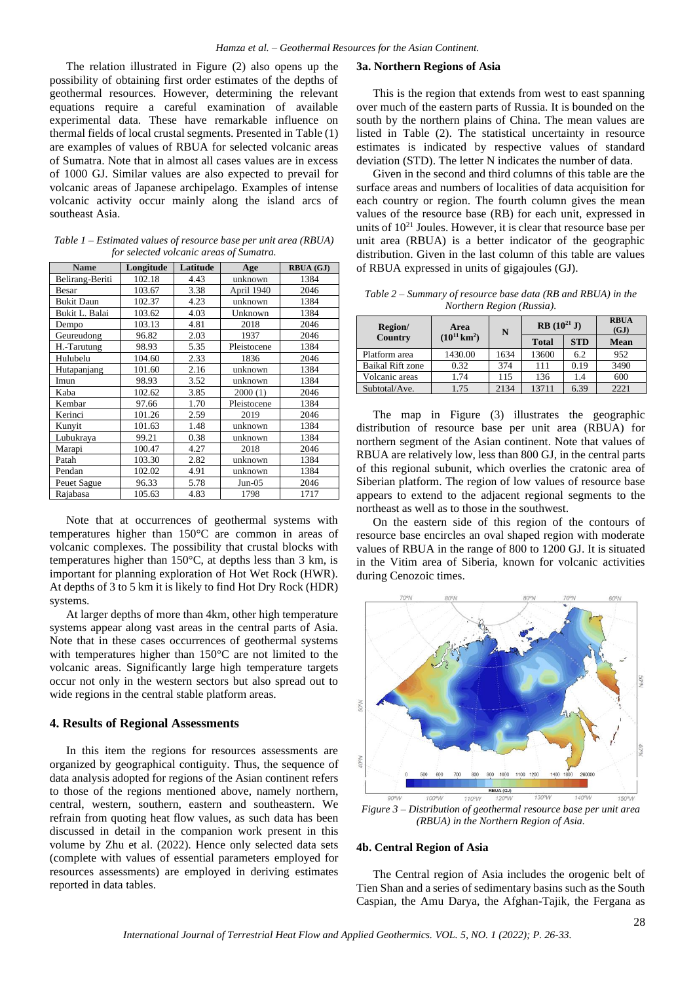The relation illustrated in Figure (2) also opens up the possibility of obtaining first order estimates of the depths of geothermal resources. However, determining the relevant equations require a careful examination of available experimental data. These have remarkable influence on thermal fields of local crustal segments. Presented in Table (1) are examples of values of RBUA for selected volcanic areas of Sumatra. Note that in almost all cases values are in excess of 1000 GJ. Similar values are also expected to prevail for volcanic areas of Japanese archipelago. Examples of intense volcanic activity occur mainly along the island arcs of southeast Asia.

*Table 1 – Estimated values of resource base per unit area (RBUA) for selected volcanic areas of Sumatra.*

| <b>Name</b>       | Longitude | Latitude | Age         | <b>RBUA (GJ)</b> |
|-------------------|-----------|----------|-------------|------------------|
| Belirang-Beriti   | 102.18    | 4.43     | unknown     | 1384             |
| Besar             | 103.67    | 3.38     | April 1940  | 2046             |
| <b>Bukit Daun</b> | 102.37    | 4.23     | unknown     | 1384             |
| Bukit L. Balai    | 103.62    | 4.03     | Unknown     | 1384             |
| Dempo             | 103.13    | 4.81     | 2018        | 2046             |
| Geureudong        | 96.82     | 2.03     | 1937        | 2046             |
| H.-Tarutung       | 98.93     | 5.35     | Pleistocene | 1384             |
| Hulubelu          | 104.60    | 2.33     | 1836        | 2046             |
| Hutapanjang       | 101.60    | 2.16     | unknown     | 1384             |
| Imun              | 98.93     | 3.52     | unknown     | 1384             |
| Kaba              | 102.62    | 3.85     | 2000(1)     | 2046             |
| Kembar            | 97.66     | 1.70     | Pleistocene | 1384             |
| Kerinci           | 101.26    | 2.59     | 2019        | 2046             |
| Kunyit            | 101.63    | 1.48     | unknown     | 1384             |
| Lubukraya         | 99.21     | 0.38     | unknown     | 1384             |
| Marapi            | 100.47    | 4.27     | 2018        | 2046             |
| Patah             | 103.30    | 2.82     | unknown     | 1384             |
| Pendan            | 102.02    | 4.91     | unknown     | 1384             |
| Peuet Sague       | 96.33     | 5.78     | $Jun-05$    | 2046             |
| Rajabasa          | 105.63    | 4.83     | 1798        | 1717             |

Note that at occurrences of geothermal systems with temperatures higher than 150°C are common in areas of volcanic complexes. The possibility that crustal blocks with temperatures higher than 150°C, at depths less than 3 km, is important for planning exploration of Hot Wet Rock (HWR). At depths of 3 to 5 km it is likely to find Hot Dry Rock (HDR) systems.

At larger depths of more than 4km, other high temperature systems appear along vast areas in the central parts of Asia. Note that in these cases occurrences of geothermal systems with temperatures higher than 150°C are not limited to the volcanic areas. Significantly large high temperature targets occur not only in the western sectors but also spread out to wide regions in the central stable platform areas.

#### **4. Results of Regional Assessments**

In this item the regions for resources assessments are organized by geographical contiguity. Thus, the sequence of data analysis adopted for regions of the Asian continent refers to those of the regions mentioned above, namely northern, central, western, southern, eastern and southeastern. We refrain from quoting heat flow values, as such data has been discussed in detail in the companion work present in this volume by Zhu et al. (2022). Hence only selected data sets (complete with values of essential parameters employed for resources assessments) are employed in deriving estimates reported in data tables.

#### **3a. Northern Regions of Asia**

This is the region that extends from west to east spanning over much of the eastern parts of Russia. It is bounded on the south by the northern plains of China. The mean values are listed in Table (2). The statistical uncertainty in resource estimates is indicated by respective values of standard deviation (STD). The letter N indicates the number of data.

Given in the second and third columns of this table are the surface areas and numbers of localities of data acquisition for each country or region. The fourth column gives the mean values of the resource base (RB) for each unit, expressed in units of  $10^{21}$  Joules. However, it is clear that resource base per unit area (RBUA) is a better indicator of the geographic distribution. Given in the last column of this table are values of RBUA expressed in units of gigajoules (GJ).

*Table 2 – Summary of resource base data (RB and RBUA) in the Northern Region (Russia).*

| Region/                 | Area                     | N    | $RB(10^{21} J)$ |            | <b>RBUA</b><br>(GJ) |
|-------------------------|--------------------------|------|-----------------|------------|---------------------|
| Country                 | $(10^{11} \text{ km}^2)$ |      | <b>Total</b>    | <b>STD</b> | Mean                |
| Platform area           | 1430.00                  | 1634 | 13600           | 6.2        | 952                 |
| <b>Baikal Rift zone</b> | 0.32                     | 374  | 111             | 0.19       | 3490                |
| Volcanic areas          | 1.74                     | 115  | 136             | 1.4        | 600                 |
| Subtotal/Ave.           | 1.75                     | 2134 | 13711           | 6.39       | 2221                |

The map in Figure (3) illustrates the geographic distribution of resource base per unit area (RBUA) for northern segment of the Asian continent. Note that values of RBUA are relatively low, less than 800 GJ, in the central parts of this regional subunit, which overlies the cratonic area of Siberian platform. The region of low values of resource base appears to extend to the adjacent regional segments to the northeast as well as to those in the southwest.

On the eastern side of this region of the contours of resource base encircles an oval shaped region with moderate values of RBUA in the range of 800 to 1200 GJ. It is situated in the Vitim area of Siberia, known for volcanic activities during Cenozoic times.



*Figure 3 – Distribution of geothermal resource base per unit area (RBUA) in the Northern Region of Asia.*

#### **4b. Central Region of Asia**

The Central region of Asia includes the orogenic belt of Tien Shan and a series of sedimentary basins such as the South Caspian, the Amu Darya, the Afghan-Tajik, the Fergana as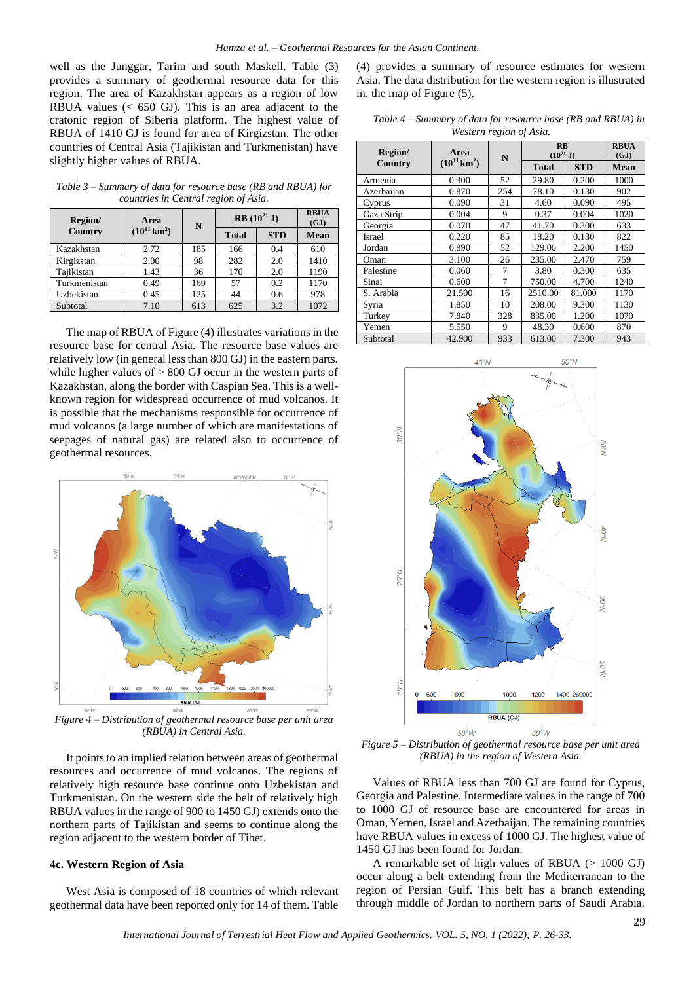well as the Junggar, Tarim and south Maskell. Table (3) provides a summary of geothermal resource data for this region. The area of Kazakhstan appears as a region of low RBUA values  $\approx$  650 GJ). This is an area adjacent to the cratonic region of Siberia platform. The highest value of RBUA of 1410 GJ is found for area of Kirgizstan. The other countries of Central Asia (Tajikistan and Turkmenistan) have slightly higher values of RBUA.

*Table 3 – Summary of data for resource base (RB and RBUA) for countries in Central region of Asia.*

| Region/      | Area                     | N   | <b>RB</b> $(10^{21} J)$ |            | <b>RBUA</b><br>(GJ) |
|--------------|--------------------------|-----|-------------------------|------------|---------------------|
| Country      | $(10^{11} \text{ km}^2)$ |     | <b>Total</b>            | <b>STD</b> | <b>Mean</b>         |
| Kazakhstan   | 2.72                     | 185 | 166                     | 0.4        | 610                 |
| Kirgizstan   | 2.00                     | 98  | 282                     | 2.0        | 1410                |
| Tajikistan   | 1.43                     | 36  | 170                     | 2.0        | 1190                |
| Turkmenistan | 0.49                     | 169 | 57                      | 0.2        | 1170                |
| Uzbekistan   | 0.45                     | 125 | 44                      | 0.6        | 978                 |
| Subtotal     | 7.10                     | 613 | 625                     | 3.2        | 1072                |

The map of RBUA of Figure (4) illustrates variations in the resource base for central Asia. The resource base values are relatively low (in general less than 800 GJ) in the eastern parts. while higher values of  $> 800$  GJ occur in the western parts of Kazakhstan, along the border with Caspian Sea. This is a wellknown region for widespread occurrence of mud volcanos. It is possible that the mechanisms responsible for occurrence of mud volcanos (a large number of which are manifestations of seepages of natural gas) are related also to occurrence of geothermal resources.



*Figure 4 – Distribution of geothermal resource base per unit area (RBUA) in Central Asia.*

It points to an implied relation between areas of geothermal resources and occurrence of mud volcanos. The regions of relatively high resource base continue onto Uzbekistan and Turkmenistan. On the western side the belt of relatively high RBUA values in the range of 900 to 1450 GJ) extends onto the northern parts of Tajikistan and seems to continue along the region adjacent to the western border of Tibet.

#### **4c. Western Region of Asia**

West Asia is composed of 18 countries of which relevant geothermal data have been reported only for 14 of them. Table (4) provides a summary of resource estimates for western Asia. The data distribution for the western region is illustrated in. the map of Figure (5).

*Table 4 – Summary of data for resource base (RB and RBUA) in Western region of Asia.*

| Region/    | Area                     | N              | $\mathbf{R}$ <b>B</b><br>$(10^{21} J)$ |            | <b>RBUA</b><br>(GJ) |
|------------|--------------------------|----------------|----------------------------------------|------------|---------------------|
| Country    | $(10^{11} \text{ km}^2)$ |                | <b>Total</b>                           | <b>STD</b> | <b>Mean</b>         |
| Armenia    | 0.300                    | 52             | 29.80                                  | 0.200      | 1000                |
| Azerbaijan | 0.870                    | 254            | 78.10                                  | 0.130      | 902                 |
| Cyprus     | 0.090                    | 31             | 4.60                                   | 0.090      | 495                 |
| Gaza Strip | 0.004                    | 9              | 0.37                                   | 0.004      | 1020                |
| Georgia    | 0.070                    | 47             | 41.70                                  | 0.300      | 633                 |
| Israel     | 0.220                    | 85             | 18.20                                  | 0.130      | 822                 |
| Jordan     | 0.890                    | 52             | 129.00                                 | 2.200      | 1450                |
| Oman       | 3.100                    | 26             | 235.00                                 | 2.470      | 759                 |
| Palestine  | 0.060                    | 7              | 3.80                                   | 0.300      | 635                 |
| Sinai      | 0.600                    | $\overline{7}$ | 750.00                                 | 4.700      | 1240                |
| S. Arabia  | 21.500                   | 16             | 2510.00                                | 81.000     | 1170                |
| Syria      | 1.850                    | 10             | 208.00                                 | 9.300      | 1130                |
| Turkey     | 7.840                    | 328            | 835.00                                 | 1.200      | 1070                |
| Yemen      | 5.550                    | 9              | 48.30                                  | 0.600      | 870                 |
| Subtotal   | 42.900                   | 933            | 613.00                                 | 7.300      | 943                 |



*Figure 5 – Distribution of geothermal resource base per unit area (RBUA) in the region of Western Asia.*

Values of RBUA less than 700 GJ are found for Cyprus, Georgia and Palestine. Intermediate values in the range of 700 to 1000 GJ of resource base are encountered for areas in Oman, Yemen, Israel and Azerbaijan. The remaining countries have RBUA values in excess of 1000 GJ. The highest value of 1450 GJ has been found for Jordan.

A remarkable set of high values of RBUA  $(> 1000 \text{ GJ})$ occur along a belt extending from the Mediterranean to the region of Persian Gulf. This belt has a branch extending through middle of Jordan to northern parts of Saudi Arabia.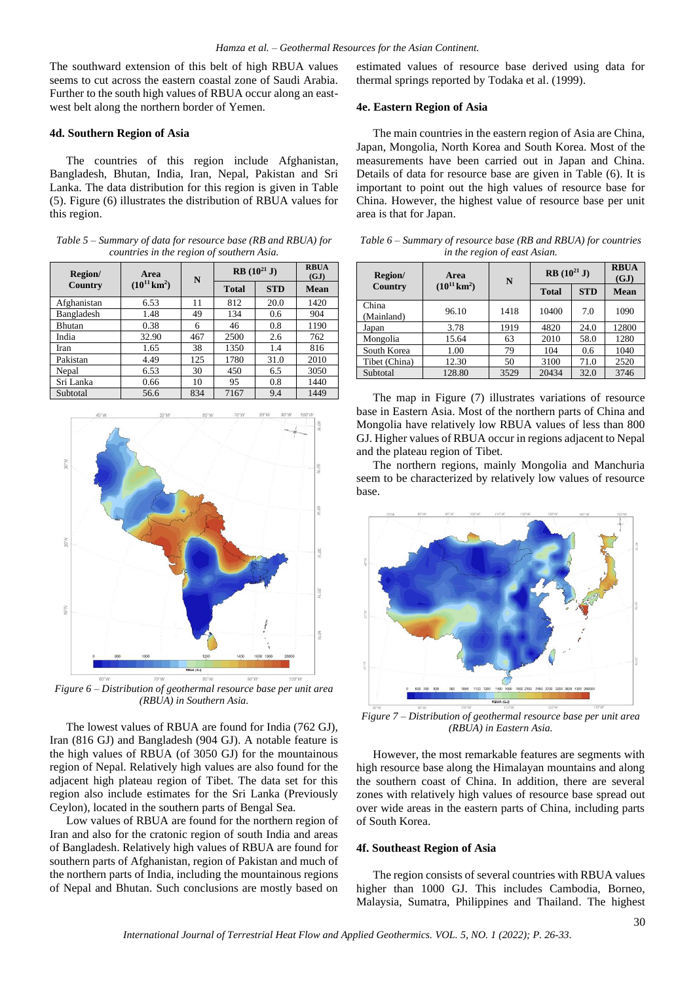The southward extension of this belt of high RBUA values seems to cut across the eastern coastal zone of Saudi Arabia. Further to the south high values of RBUA occur along an eastwest belt along the northern border of Yemen.

#### **4d. Southern Region of Asia**

The countries of this region include Afghanistan, Bangladesh, Bhutan, India, Iran, Nepal, Pakistan and Sri Lanka. The data distribution for this region is given in Table (5). Figure (6) illustrates the distribution of RBUA values for this region.

*Table 5 – Summary of data for resource base (RB and RBUA) for countries in the region of southern Asia.*

| Region/       | Area                        | N   | $RB(10^{21} J)$ |            | <b>RBUA</b><br>(GJ) |
|---------------|-----------------------------|-----|-----------------|------------|---------------------|
| Country       | $(10^{11} \,\mathrm{km}^2)$ |     | <b>Total</b>    | <b>STD</b> | Mean                |
| Afghanistan   | 6.53                        | 11  | 812             | 20.0       | 1420                |
| Bangladesh    | 1.48                        | 49  | 134             | 0.6        | 904                 |
| <b>Bhutan</b> | 0.38                        | 6   | 46              | 0.8        | 1190                |
| India         | 32.90                       | 467 | 2500            | 2.6        | 762                 |
| Iran          | 1.65                        | 38  | 1350            | 1.4        | 816                 |
| Pakistan      | 4.49                        | 125 | 1780            | 31.0       | 2010                |
| Nepal         | 6.53                        | 30  | 450             | 6.5        | 3050                |
| Sri Lanka     | 0.66                        | 10  | 95              | 0.8        | 1440                |
| Subtotal      | 56.6                        | 834 | 7167            | 9.4        | 1449                |



*Figure 6 – Distribution of geothermal resource base per unit area (RBUA) in Southern Asia.*

The lowest values of RBUA are found for India (762 GJ), Iran (816 GJ) and Bangladesh (904 GJ). A notable feature is the high values of RBUA (of 3050 GJ) for the mountainous region of Nepal. Relatively high values are also found for the adjacent high plateau region of Tibet. The data set for this region also include estimates for the Sri Lanka (Previously Ceylon), located in the southern parts of Bengal Sea.

Low values of RBUA are found for the northern region of Iran and also for the cratonic region of south India and areas of Bangladesh. Relatively high values of RBUA are found for southern parts of Afghanistan, region of Pakistan and much of the northern parts of India, including the mountainous regions of Nepal and Bhutan. Such conclusions are mostly based on

estimated values of resource base derived using data for thermal springs reported by Todaka et al. (1999).

#### **4e. Eastern Region of Asia**

The main countries in the eastern region of Asia are China, Japan, Mongolia, North Korea and South Korea. Most of the measurements have been carried out in Japan and China. Details of data for resource base are given in Table (6). It is important to point out the high values of resource base for China. However, the highest value of resource base per unit area is that for Japan.

*Table 6 – Summary of resource base (RB and RBUA) for countries in the region of east Asian.*

| Region/             | Area                     | N    | $RB(10^{21} J)$ |            | <b>RBUA</b><br>(GJ) |
|---------------------|--------------------------|------|-----------------|------------|---------------------|
| Country             | $(10^{11} \text{ km}^2)$ |      | <b>Total</b>    | <b>STD</b> | <b>Mean</b>         |
| China<br>(Mainland) | 96.10                    | 1418 | 10400           | 7.0        | 1090                |
| Japan               | 3.78                     | 1919 | 4820            | 24.0       | 12800               |
| Mongolia            | 15.64                    | 63   | 2010            | 58.0       | 1280                |
| South Korea         | 1.00                     | 79   | 104             | 0.6        | 1040                |
| Tibet (China)       | 12.30                    | 50   | 3100            | 71.0       | 2520                |
| Subtotal            | 128.80                   | 3529 | 20434           | 32.0       | 3746                |

The map in Figure (7) illustrates variations of resource base in Eastern Asia. Most of the northern parts of China and Mongolia have relatively low RBUA values of less than 800 GJ. Higher values of RBUA occur in regions adjacent to Nepal and the plateau region of Tibet.

The northern regions, mainly Mongolia and Manchuria seem to be characterized by relatively low values of resource base.



*Figure 7 – Distribution of geothermal resource base per unit area (RBUA) in Eastern Asia.*

However, the most remarkable features are segments with high resource base along the Himalayan mountains and along the southern coast of China. In addition, there are several zones with relatively high values of resource base spread out over wide areas in the eastern parts of China, including parts of South Korea.

#### **4f. Southeast Region of Asia**

The region consists of several countries with RBUA values higher than 1000 GJ. This includes Cambodia, Borneo, Malaysia, Sumatra, Philippines and Thailand. The highest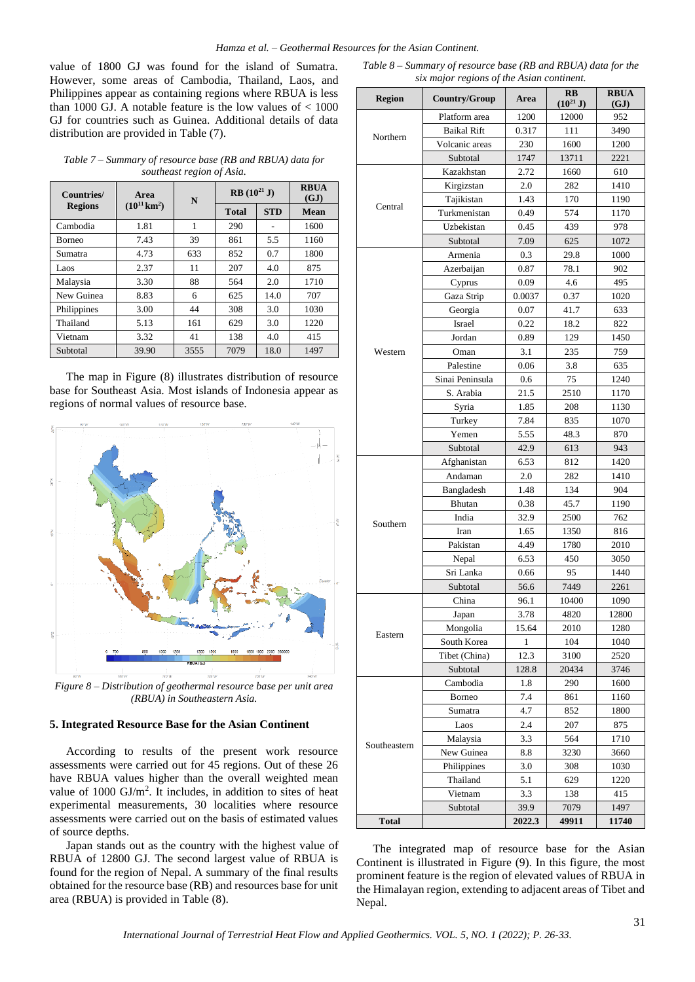value of 1800 GJ was found for the island of Sumatra. However, some areas of Cambodia, Thailand, Laos, and Philippines appear as containing regions where RBUA is less than 1000 GJ. A notable feature is the low values of < 1000 GJ for countries such as Guinea. Additional details of data distribution are provided in Table (7).

*Table 7 – Summary of resource base (RB and RBUA) data for southeast region of Asia.*

| Countries/     | Area                     | N    | $RB(10^{21} J)$ |            | <b>RBUA</b><br>(GJ) |
|----------------|--------------------------|------|-----------------|------------|---------------------|
| <b>Regions</b> | $(10^{11} \text{ km}^2)$ |      | <b>Total</b>    | <b>STD</b> | Mean                |
| Cambodia       | 1.81                     | 1    | 290             |            | 1600                |
| <b>Borneo</b>  | 7.43                     | 39   | 861             | 5.5        | 1160                |
| Sumatra        | 4.73                     | 633  | 852             | 0.7        | 1800                |
| Laos           | 2.37                     | 11   | 207             | 4.0        | 875                 |
| Malaysia       | 3.30                     | 88   | 564             | 2.0        | 1710                |
| New Guinea     | 8.83                     | 6    | 625             | 14.0       | 707                 |
| Philippines    | 3.00                     | 44   | 308             | 3.0        | 1030                |
| Thailand       | 5.13                     | 161  | 629             | 3.0        | 1220                |
| Vietnam        | 3.32                     | 41   | 138             | 4.0        | 415                 |
| Subtotal       | 39.90                    | 3555 | 7079            | 18.0       | 1497                |

The map in Figure (8) illustrates distribution of resource base for Southeast Asia. Most islands of Indonesia appear as regions of normal values of resource base.



*Figure 8 – Distribution of geothermal resource base per unit area (RBUA) in Southeastern Asia.*

#### **5. Integrated Resource Base for the Asian Continent**

According to results of the present work resource assessments were carried out for 45 regions. Out of these 26 have RBUA values higher than the overall weighted mean value of  $1000 \text{ GJ/m}^2$ . It includes, in addition to sites of heat experimental measurements, 30 localities where resource assessments were carried out on the basis of estimated values of source depths.

Japan stands out as the country with the highest value of RBUA of 12800 GJ. The second largest value of RBUA is found for the region of Nepal. A summary of the final results obtained for the resource base (RB) and resources base for unit area (RBUA) is provided in Table (8).

*Table 8 – Summary of resource base (RB and RBUA) data for the six major regions of the Asian continent.*

| <b>Region</b> | Country/Group   | Area   | $\mathbf{R}$ <b>B</b>                                                                                                                                                                                                                                                                                                                                                       | <b>RBUA</b><br>(GJ) |
|---------------|-----------------|--------|-----------------------------------------------------------------------------------------------------------------------------------------------------------------------------------------------------------------------------------------------------------------------------------------------------------------------------------------------------------------------------|---------------------|
|               | Platform area   | 1200   | 12000                                                                                                                                                                                                                                                                                                                                                                       | 952                 |
|               | Baikal Rift     | 0.317  | 111                                                                                                                                                                                                                                                                                                                                                                         | 3490                |
| Northern      | Volcanic areas  | 230    | 1600                                                                                                                                                                                                                                                                                                                                                                        | 1200                |
|               | Subtotal        | 1747   | 13711                                                                                                                                                                                                                                                                                                                                                                       | 2221                |
|               | Kazakhstan      | 2.72   | 1660                                                                                                                                                                                                                                                                                                                                                                        | 610                 |
|               | Kirgizstan      | 2.0    | $(10^{21} J)$<br>282<br>170<br>574<br>439<br>625<br>29.8<br>78.1<br>4.6<br>0.37<br>41.7<br>18.2<br>129<br>235<br>3.8<br>75<br>2510<br>208<br>835<br>48.3<br>613<br>812<br>282<br>134<br>45.7<br>2500<br>1350<br>1780<br>450<br>95<br>7449<br>10400<br>4820<br>2010<br>104<br>3100<br>20434<br>290<br>861<br>852<br>207<br>564<br>3230<br>308<br>629<br>138<br>7079<br>49911 | 1410                |
|               | Tajikistan      | 1.43   |                                                                                                                                                                                                                                                                                                                                                                             | 1190                |
| Central       | Turkmenistan    | 0.49   |                                                                                                                                                                                                                                                                                                                                                                             | 1170                |
|               | Uzbekistan      | 0.45   |                                                                                                                                                                                                                                                                                                                                                                             | 978                 |
|               | Subtotal        | 7.09   |                                                                                                                                                                                                                                                                                                                                                                             | 1072                |
|               | Armenia         | 0.3    |                                                                                                                                                                                                                                                                                                                                                                             | 1000                |
|               | Azerbaijan      | 0.87   |                                                                                                                                                                                                                                                                                                                                                                             | 902                 |
|               | Cyprus          | 0.09   |                                                                                                                                                                                                                                                                                                                                                                             | 495                 |
|               | Gaza Strip      | 0.0037 |                                                                                                                                                                                                                                                                                                                                                                             | 1020                |
|               | Georgia         | 0.07   |                                                                                                                                                                                                                                                                                                                                                                             | 633                 |
|               | Israel          | 0.22   |                                                                                                                                                                                                                                                                                                                                                                             | 822                 |
|               | Jordan          | 0.89   |                                                                                                                                                                                                                                                                                                                                                                             | 1450                |
| Western       | Oman            | 3.1    |                                                                                                                                                                                                                                                                                                                                                                             | 759                 |
|               | Palestine       | 0.06   |                                                                                                                                                                                                                                                                                                                                                                             | 635                 |
|               | Sinai Peninsula | 0.6    |                                                                                                                                                                                                                                                                                                                                                                             | 1240                |
|               | S. Arabia       | 21.5   |                                                                                                                                                                                                                                                                                                                                                                             | 1170                |
|               | Syria           | 1.85   |                                                                                                                                                                                                                                                                                                                                                                             | 1130                |
|               | Turkey          | 7.84   |                                                                                                                                                                                                                                                                                                                                                                             | 1070                |
|               | Yemen           | 5.55   |                                                                                                                                                                                                                                                                                                                                                                             | 870                 |
|               | Subtotal        | 42.9   |                                                                                                                                                                                                                                                                                                                                                                             | 943                 |
|               | Afghanistan     | 6.53   |                                                                                                                                                                                                                                                                                                                                                                             | 1420                |
|               | Andaman         | 2.0    |                                                                                                                                                                                                                                                                                                                                                                             | 1410                |
|               | Bangladesh      | 1.48   |                                                                                                                                                                                                                                                                                                                                                                             | 904                 |
|               | Bhutan          | 0.38   |                                                                                                                                                                                                                                                                                                                                                                             | 1190                |
| Southern      | India           | 32.9   |                                                                                                                                                                                                                                                                                                                                                                             | 762                 |
|               | Iran            | 1.65   |                                                                                                                                                                                                                                                                                                                                                                             | 816                 |
|               | Pakistan        | 4.49   |                                                                                                                                                                                                                                                                                                                                                                             | 2010                |
|               | Nepal           | 6.53   |                                                                                                                                                                                                                                                                                                                                                                             | 3050                |
|               | Sri Lanka       | 0.66   |                                                                                                                                                                                                                                                                                                                                                                             | 1440                |
|               | Subtotal        | 56.6   |                                                                                                                                                                                                                                                                                                                                                                             | 2261                |
|               | China           | 96.1   |                                                                                                                                                                                                                                                                                                                                                                             | 1090                |
|               | Japan           | 3.78   |                                                                                                                                                                                                                                                                                                                                                                             | 12800               |
| Eastern       | Mongolia        | 15.64  |                                                                                                                                                                                                                                                                                                                                                                             | 1280                |
|               | South Korea     | 1      |                                                                                                                                                                                                                                                                                                                                                                             | 1040                |
|               | Tibet (China)   | 12.3   |                                                                                                                                                                                                                                                                                                                                                                             | 2520                |
|               | Subtotal        | 128.8  |                                                                                                                                                                                                                                                                                                                                                                             | 3746                |
|               | Cambodia        | 1.8    |                                                                                                                                                                                                                                                                                                                                                                             | 1600                |
|               | Borneo          | 7.4    |                                                                                                                                                                                                                                                                                                                                                                             | 1160                |
|               | Sumatra         | 4.7    |                                                                                                                                                                                                                                                                                                                                                                             | 1800                |
|               | Laos            | 2.4    |                                                                                                                                                                                                                                                                                                                                                                             | 875                 |
| Southeastern  | Malaysia        | 3.3    |                                                                                                                                                                                                                                                                                                                                                                             | 1710                |
|               | New Guinea      | 8.8    |                                                                                                                                                                                                                                                                                                                                                                             | 3660                |
|               | Philippines     | 3.0    |                                                                                                                                                                                                                                                                                                                                                                             | 1030                |
|               | Thailand        | 5.1    |                                                                                                                                                                                                                                                                                                                                                                             | 1220                |
|               | Vietnam         | 3.3    |                                                                                                                                                                                                                                                                                                                                                                             | 415                 |
|               | Subtotal        | 39.9   |                                                                                                                                                                                                                                                                                                                                                                             | 1497                |
| <b>Total</b>  |                 | 2022.3 |                                                                                                                                                                                                                                                                                                                                                                             | 11740               |

The integrated map of resource base for the Asian Continent is illustrated in Figure (9). In this figure, the most prominent feature is the region of elevated values of RBUA in the Himalayan region, extending to adjacent areas of Tibet and Nepal.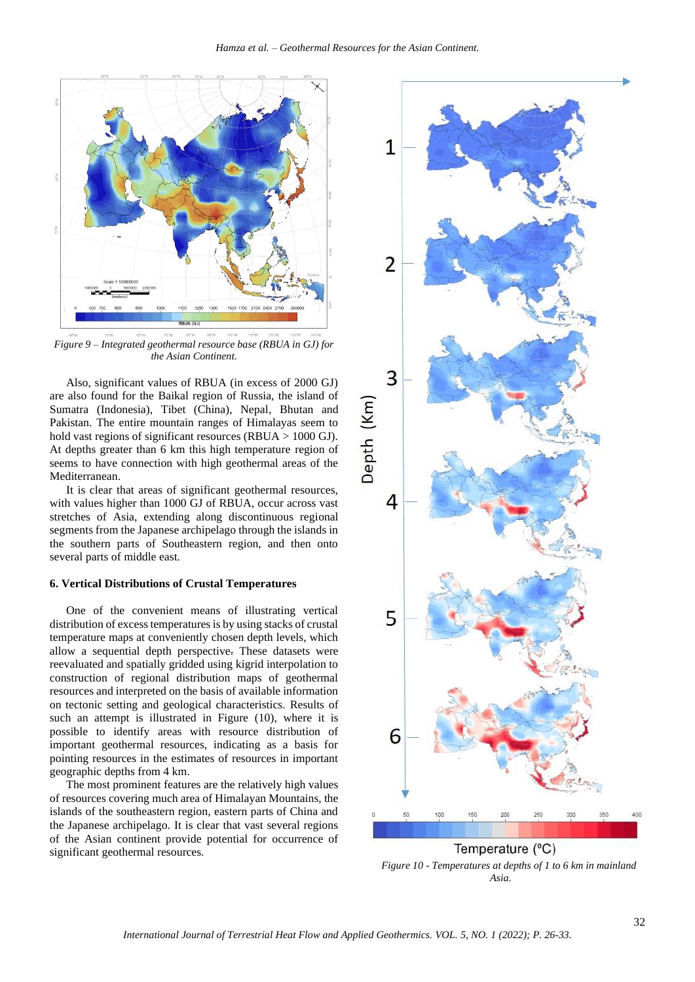

*Figure 9 – Integrated geothermal resource base (RBUA in GJ) for the Asian Continent.*

Also, significant values of RBUA (in excess of 2000 GJ) are also found for the Baikal region of Russia, the island of Sumatra (Indonesia), Tibet (China), Nepal, Bhutan and Pakistan. The entire mountain ranges of Himalayas seem to hold vast regions of significant resources (RBUA > 1000 GJ). At depths greater than 6 km this high temperature region of seems to have connection with high geothermal areas of the Mediterranean.

It is clear that areas of significant geothermal resources, with values higher than 1000 GJ of RBUA, occur across vast stretches of Asia, extending along discontinuous regional segments from the Japanese archipelago through the islands in the southern parts of Southeastern region, and then onto several parts of middle east.

#### **6. Vertical Distributions of Crustal Temperatures**

One of the convenient means of illustrating vertical distribution of excess temperatures is by using stacks of crustal temperature maps at conveniently chosen depth levels, which allow a sequential depth perspective. These datasets were reevaluated and spatially gridded using kigrid interpolation to construction of regional distribution maps of geothermal resources and interpreted on the basis of available information on tectonic setting and geological characteristics. Results of such an attempt is illustrated in Figure (10), where it is possible to identify areas with resource distribution of important geothermal resources, indicating as a basis for pointing resources in the estimates of resources in important geographic depths from 4 km.

The most prominent features are the relatively high values of resources covering much area of Himalayan Mountains, the islands of the southeastern region, eastern parts of China and the Japanese archipelago. It is clear that vast several regions of the Asian continent provide potential for occurrence of significant geothermal resources.



*Figure 10 - Temperatures at depths of 1 to 6 km in mainland Asia.*